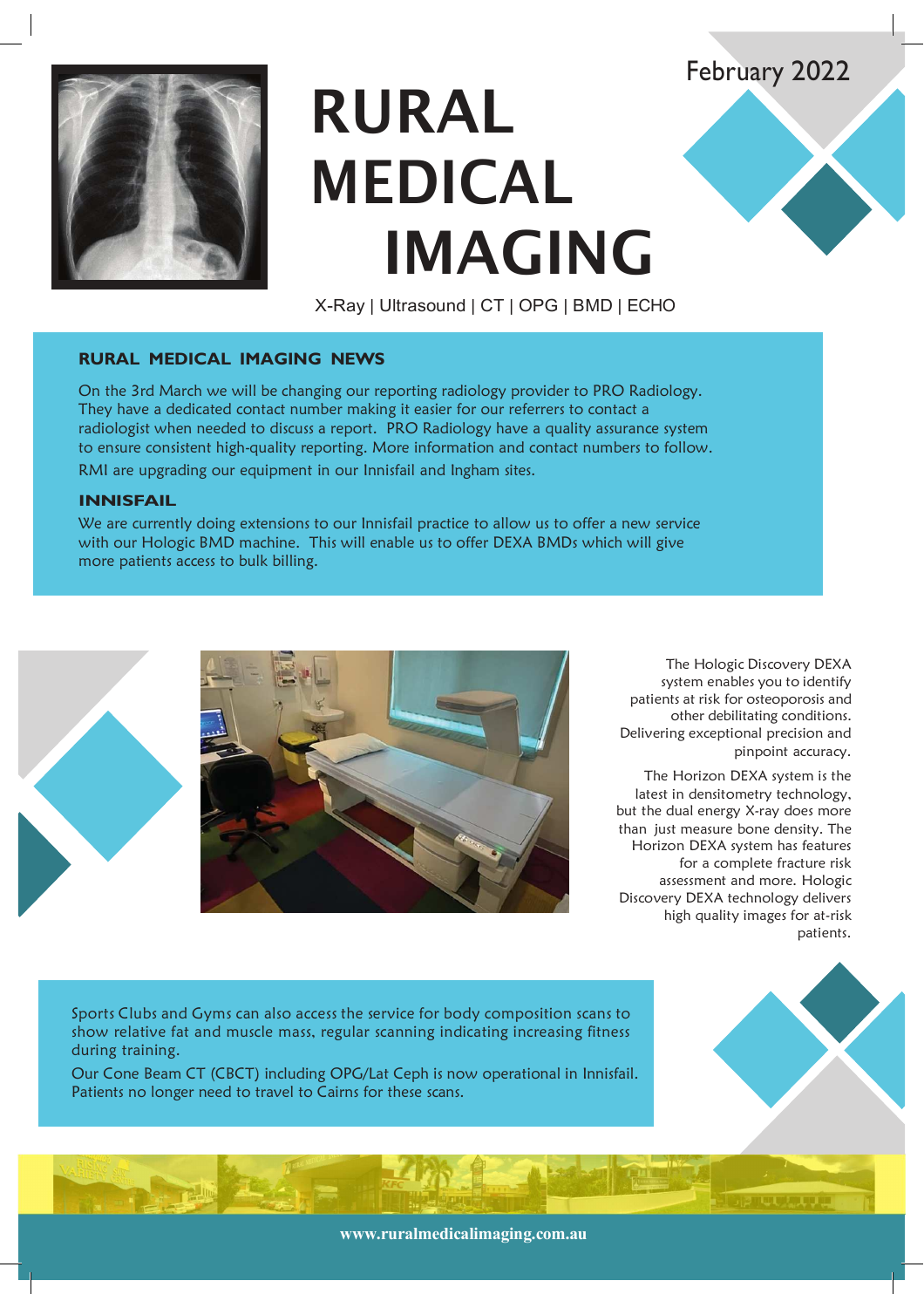# **RURAL MEDICAL IMAGING**

X-Ray | Ultrasound | CT | OPG | BMD | ECHO

## **RURAL MEDICAL IMAGING NEWS**

On the 3rd March we will be changing our reporting radiology provider to PRO Radiology. They have a dedicated contact number making it easier for our referrers to contact a radiologist when needed to discuss a report. PRO Radiology have a quality assurance system to ensure consistent high-quality reporting. More information and contact numbers to follow. RMI are upgrading our equipment in our Innisfail and Ingham sites.

#### **INNISFAIL**

We are currently doing extensions to our Innisfail practice to allow us to offer a new service with our Hologic BMD machine. This will enable us to offer DEXA BMDs which will give more patients access to bulk billing.



The Hologic Discovery DEXA system enables you to identify patients at risk for osteoporosis and other debilitating conditions. Delivering exceptional precision and pinpoint accuracy.

February 2022

The Horizon DEXA system is the latest in densitometry technology, but the dual energy X-ray does more than just measure bone density. The Horizon DEXA system has features for a complete fracture risk assessment and more. Hologic Discovery DEXA technology delivers high quality images for at-risk patients.

Sports Clubs and Gyms can also access the service for body composition scans to show relative fat and muscle mass, regular scanning indicating increasing fitness during training.

Our Cone Beam CT (CBCT) including OPG/Lat Ceph is now operational in Innisfail. Patients no longer need to travel to Cairns for these scans.